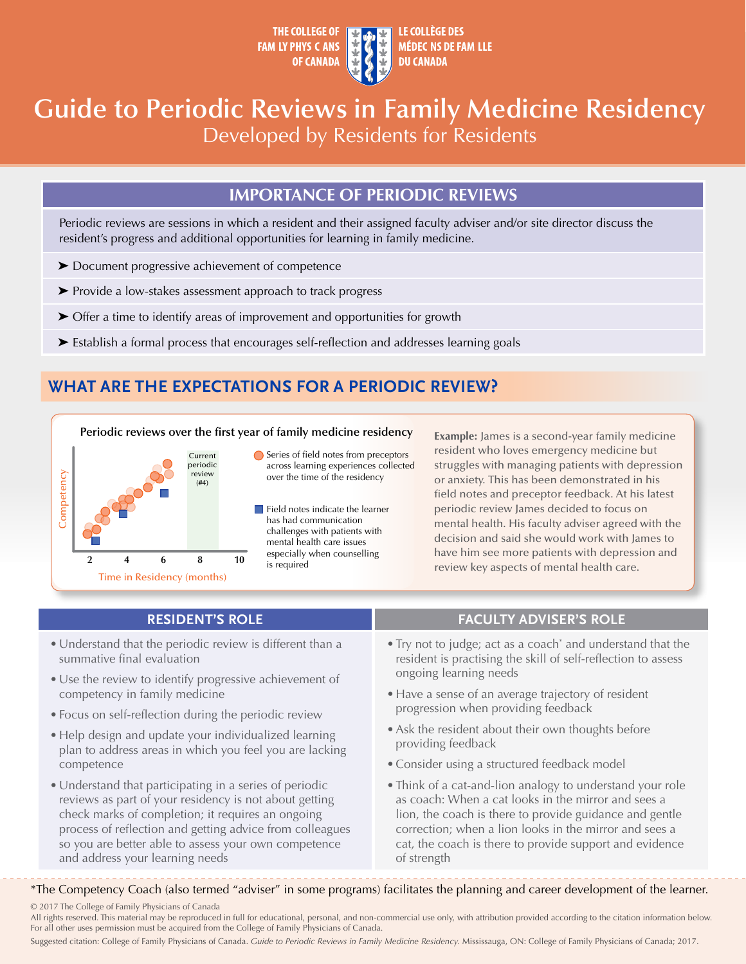

# **Guide to Periodic Reviews in Family Medicine Residency**  Developed by Residents for Residents

## **IMPORTANCE OF PERIODIC REVIEWS**

Periodic reviews are sessions in which a resident and their assigned faculty adviser and/or site director discuss the resident's progress and additional opportunities for learning in family medicine.

- ➤ Document progressive achievement of competence
- ➤ Provide a low-stakes assessment approach to track progress
- ➤ Offer a time to identify areas of improvement and opportunities for growth
- ➤ Establish a formal process that encourages self-reflection and addresses learning goals

## **WHAT ARE THE EXPECTATIONS FOR A PERIODIC REVIEW?**

### **Periodic reviews over the first year of family medicine residency**



Series of field notes from preceptors across learning experiences collected over the time of the residency

Field notes indicate the learner has had communication challenges with patients with mental health care issues especially when counselling is required

**Example:** James is a second-year family medicine resident who loves emergency medicine but struggles with managing patients with depression or anxiety. This has been demonstrated in his field notes and preceptor feedback. At his latest periodic review James decided to focus on mental health. His faculty adviser agreed with the decision and said she would work with James to have him see more patients with depression and review key aspects of mental health care.

- Understand that the periodic review is different than a summative final evaluation
- Use the review to identify progressive achievement of competency in family medicine
- Focus on self-reflection during the periodic review
- Help design and update your individualized learning plan to address areas in which you feel you are lacking competence
- Understand that participating in a series of periodic reviews as part of your residency is not about getting check marks of completion; it requires an ongoing process of reflection and getting advice from colleagues so you are better able to assess your own competence and address your learning needs

### **RESIDENT'S ROLE FACULTY ADVISER'S ROLE**

- Try not to judge; act as a coach<sup>\*</sup> and understand that the resident is practising the skill of self-reflection to assess ongoing learning needs
- Have a sense of an average trajectory of resident progression when providing feedback
- Ask the resident about their own thoughts before providing feedback
- Consider using a structured feedback model
- Think of a cat-and-lion analogy to understand your role as coach: When a cat looks in the mirror and sees a lion, the coach is there to provide guidance and gentle correction; when a lion looks in the mirror and sees a cat, the coach is there to provide support and evidence of strength

\*The Competency Coach (also termed "adviser" in some programs) facilitates the planning and career development of the learner.

© 2017 The College of Family Physicians of Canada

All rights reserved. This material may be reproduced in full for educational, personal, and non-commercial use only, with attribution provided according to the citation information below. For all other uses permission must be acquired from the College of Family Physicians of Canada.

Suggested citation: College of Family Physicians of Canada. *Guide to Periodic Reviews in Family Medicine Residency.* Mississauga, ON: College of Family Physicians of Canada; 2017.